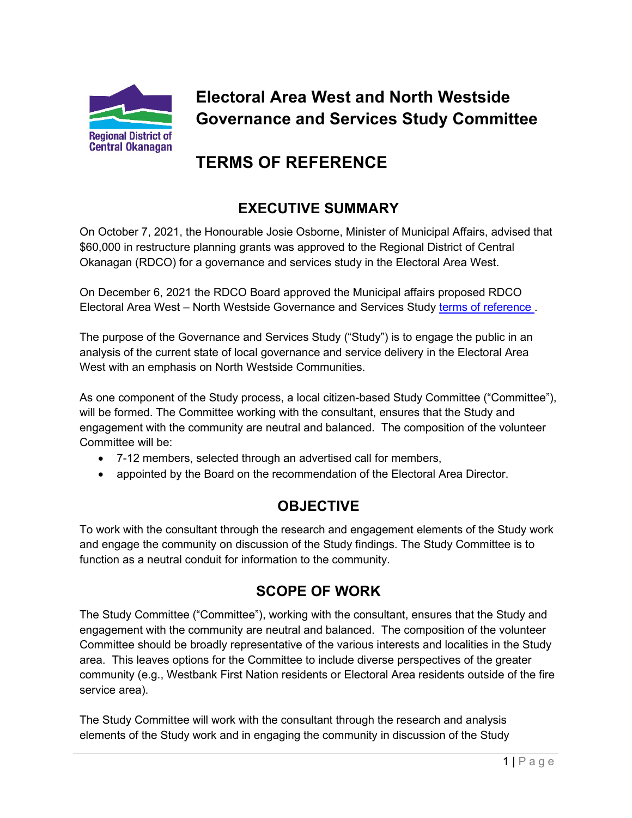

# **Electoral Area West and North Westside Governance and Services Study Committee**

# **TERMS OF REFERENCE**

## **EXECUTIVE SUMMARY**

On October 7, 2021, the Honourable Josie Osborne, Minister of Municipal Affairs, advised that \$60,000 in restructure planning grants was approved to the Regional District of Central Okanagan (RDCO) for a governance and services study in the Electoral Area West.

On December 6, 2021 the RDCO Board approved the Municipal affairs proposed RDCO Electoral Area West – North Westside Governance and Services Study [terms of reference .](https://pub-rdco.escribemeetings.com/filestream.ashx?DocumentId=5118)

The purpose of the Governance and Services Study ("Study") is to engage the public in an analysis of the current state of local governance and service delivery in the Electoral Area West with an emphasis on North Westside Communities.

As one component of the Study process, a local citizen-based Study Committee ("Committee"), will be formed. The Committee working with the consultant, ensures that the Study and engagement with the community are neutral and balanced. The composition of the volunteer Committee will be:

- 7-12 members, selected through an advertised call for members,
- appointed by the Board on the recommendation of the Electoral Area Director.

## **OBJECTIVE**

To work with the consultant through the research and engagement elements of the Study work and engage the community on discussion of the Study findings. The Study Committee is to function as a neutral conduit for information to the community.

## **SCOPE OF WORK**

The Study Committee ("Committee"), working with the consultant, ensures that the Study and engagement with the community are neutral and balanced. The composition of the volunteer Committee should be broadly representative of the various interests and localities in the Study area. This leaves options for the Committee to include diverse perspectives of the greater community (e.g., Westbank First Nation residents or Electoral Area residents outside of the fire service area).

The Study Committee will work with the consultant through the research and analysis elements of the Study work and in engaging the community in discussion of the Study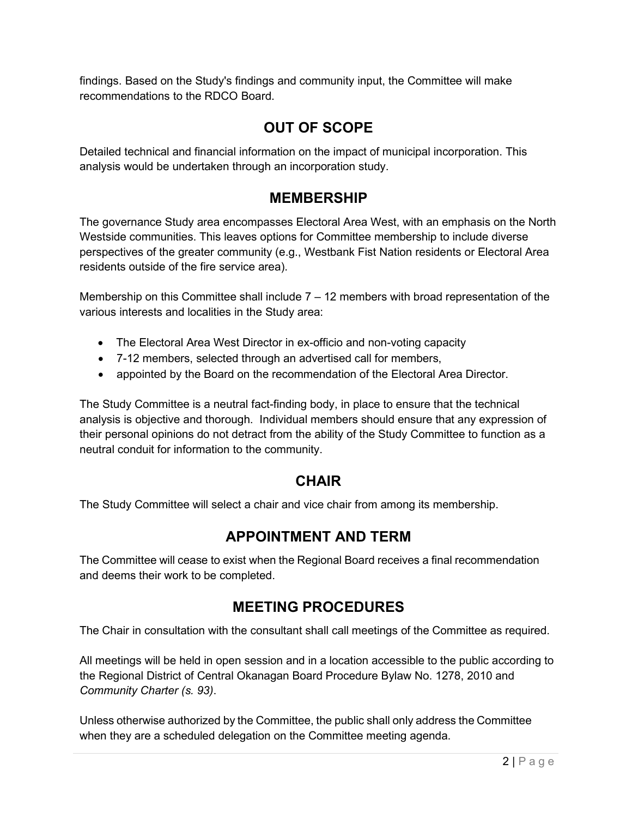findings. Based on the Study's findings and community input, the Committee will make recommendations to the RDCO Board.

### **OUT OF SCOPE**

Detailed technical and financial information on the impact of municipal incorporation. This analysis would be undertaken through an incorporation study.

#### **MEMBERSHIP**

The governance Study area encompasses Electoral Area West, with an emphasis on the North Westside communities. This leaves options for Committee membership to include diverse perspectives of the greater community (e.g., Westbank Fist Nation residents or Electoral Area residents outside of the fire service area).

Membership on this Committee shall include 7 – 12 members with broad representation of the various interests and localities in the Study area:

- The Electoral Area West Director in ex-officio and non-voting capacity
- 7-12 members, selected through an advertised call for members,
- appointed by the Board on the recommendation of the Electoral Area Director.

The Study Committee is a neutral fact-finding body, in place to ensure that the technical analysis is objective and thorough. Individual members should ensure that any expression of their personal opinions do not detract from the ability of the Study Committee to function as a neutral conduit for information to the community.

#### **CHAIR**

The Study Committee will select a chair and vice chair from among its membership.

#### **APPOINTMENT AND TERM**

The Committee will cease to exist when the Regional Board receives a final recommendation and deems their work to be completed.

#### **MEETING PROCEDURES**

The Chair in consultation with the consultant shall call meetings of the Committee as required.

All meetings will be held in open session and in a location accessible to the public according to the Regional District of Central Okanagan Board Procedure Bylaw No. 1278, 2010 and *Community Charter (s. 93)*.

Unless otherwise authorized by the Committee, the public shall only address the Committee when they are a scheduled delegation on the Committee meeting agenda.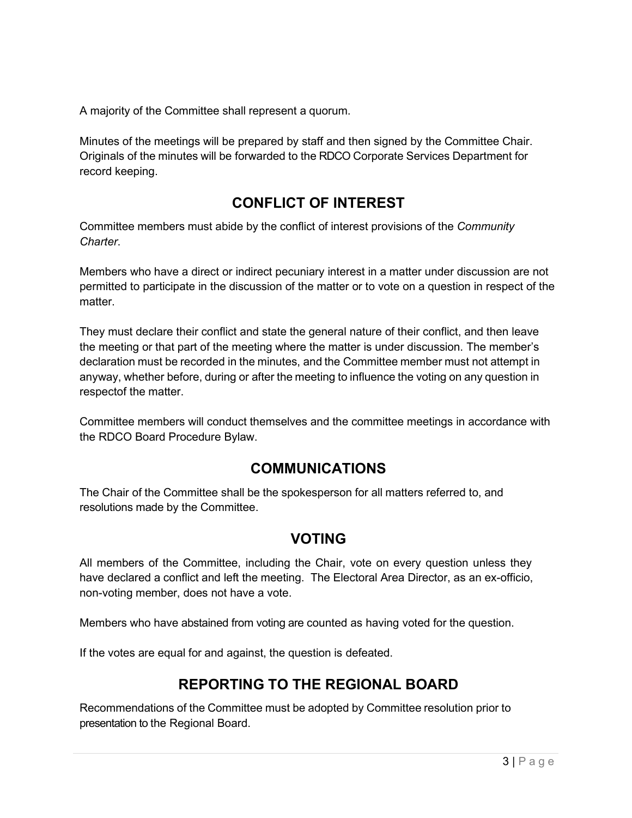A majority of the Committee shall represent a quorum.

Minutes of the meetings will be prepared by staff and then signed by the Committee Chair. Originals of the minutes will be forwarded to the RDCO Corporate Services Department for record keeping.

## **CONFLICT OF INTEREST**

Committee members must abide by the conflict of interest provisions of the *Community Charter*.

Members who have a direct or indirect pecuniary interest in a matter under discussion are not permitted to participate in the discussion of the matter or to vote on a question in respect of the matter.

They must declare their conflict and state the general nature of their conflict, and then leave the meeting or that part of the meeting where the matter is under discussion. The member's declaration must be recorded in the minutes, and the Committee member must not attempt in anyway, whether before, during or after the meeting to influence the voting on any question in respectof the matter.

Committee members will conduct themselves and the committee meetings in accordance with the RDCO Board Procedure Bylaw.

#### **COMMUNICATIONS**

The Chair of the Committee shall be the spokesperson for all matters referred to, and resolutions made by the Committee.

#### **VOTING**

All members of the Committee, including the Chair, vote on every question unless they have declared a conflict and left the meeting. The Electoral Area Director, as an ex-officio, non-voting member, does not have a vote.

Members who have abstained from voting are counted as having voted for the question.

If the votes are equal for and against, the question is defeated.

## **REPORTING TO THE REGIONAL BOARD**

Recommendations of the Committee must be adopted by Committee resolution prior to presentation to the Regional Board.